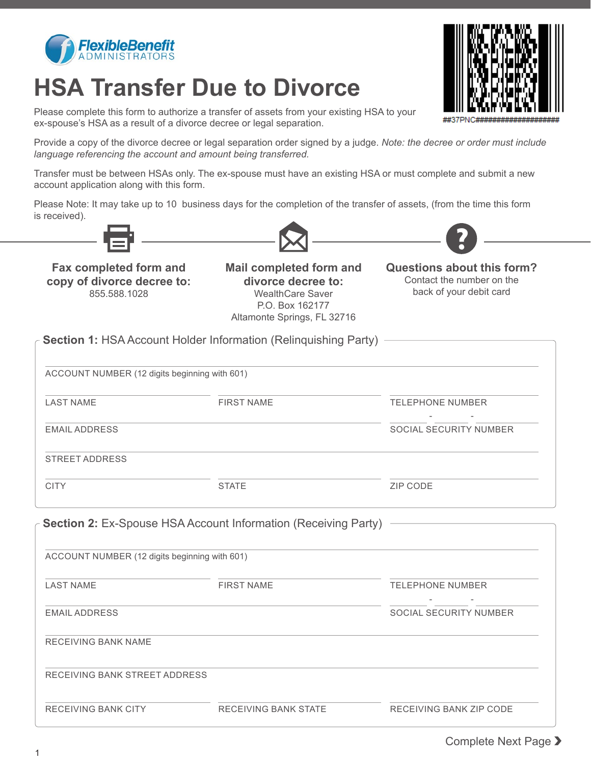

## **HSA Transfer Due to Divorce**

Please complete this form to authorize a transfer of assets from your existing HSA to your ex-spouse's HSA as a result of a divorce decree or legal separation.

Provide a copy of the divorce decree or legal separation order signed by a judge. *Note: the decree or order must include language referencing the account and amount being transferred.* 

Transfer must be between HSAs only. The ex-spouse must have an existing HSA or must complete and submit a new account application along with this form.

Please Note: It may take up to 10 business days for the completion of the transfer of assets, (from the time this form is received).







**Fax completed form and copy of divorce decree to:**

855.588.1028 WealthCare Saver back of your debit card P.O. Box 162177 Altamonte Springs, FL 32716 **Mail completed form and divorce decree to:**

Contact the number on the **Questions about this form?**

| ACCOUNT NUMBER (12 digits beginning with 601)                                                                                                     |                                                                       |                               |
|---------------------------------------------------------------------------------------------------------------------------------------------------|-----------------------------------------------------------------------|-------------------------------|
| <b>LAST NAME</b>                                                                                                                                  | <b>FIRST NAME</b>                                                     | <b>TELEPHONE NUMBER</b>       |
| <b>EMAIL ADDRESS</b>                                                                                                                              |                                                                       | SOCIAL SECURITY NUMBER        |
| <b>STREET ADDRESS</b>                                                                                                                             |                                                                       |                               |
| <b>CITY</b>                                                                                                                                       | <b>STATE</b>                                                          | <b>ZIP CODE</b>               |
|                                                                                                                                                   | <b>Section 2: Ex-Spouse HSA Account Information (Receiving Party)</b> |                               |
|                                                                                                                                                   | <b>FIRST NAME</b>                                                     | <b>TELEPHONE NUMBER</b>       |
|                                                                                                                                                   |                                                                       |                               |
|                                                                                                                                                   |                                                                       |                               |
|                                                                                                                                                   |                                                                       |                               |
| ACCOUNT NUMBER (12 digits beginning with 601)<br><b>LAST NAME</b><br><b>EMAIL ADDRESS</b><br>RECEIVING BANK NAME<br>RECEIVING BANK STREET ADDRESS |                                                                       | <b>SOCIAL SECURITY NUMBER</b> |